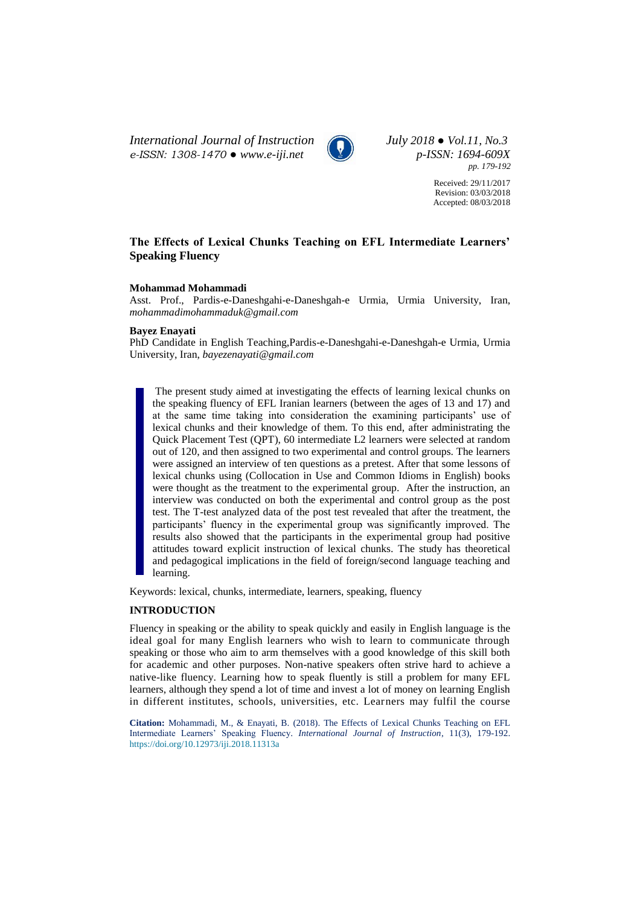*International Journal of Instruction July 2018 ● Vol.11, No.3 e-ISSN: 1308-1470 ● [www.e-iji.net](http://www.e-iji.net/) p-ISSN: 1694-609X*



*pp. 179-192*

Received: 29/11/2017 Revision: 03/03/2018 Accepted: 08/03/2018

# **The Effects of Lexical Chunks Teaching on EFL Intermediate Learners' Speaking Fluency**

### **Mohammad Mohammadi**

Asst. Prof., Pardis-e-Daneshgahi-e-Daneshgah-e Urmia, Urmia University, Iran, *mohammadimohammaduk@gmail.com*

### **Bayez Enayati**

PhD Candidate in English Teaching,Pardis-e-Daneshgahi-e-Daneshgah-e Urmia, Urmia University, Iran, *bayezenayati@gmail.com*

The present study aimed at investigating the effects of learning lexical chunks on the speaking fluency of EFL Iranian learners (between the ages of 13 and 17) and at the same time taking into consideration the examining participants' use of lexical chunks and their knowledge of them. To this end, after administrating the Quick Placement Test (QPT), 60 intermediate L2 learners were selected at random out of 120, and then assigned to two experimental and control groups. The learners were assigned an interview of ten questions as a pretest. After that some lessons of lexical chunks using (Collocation in Use and Common Idioms in English) books were thought as the treatment to the experimental group. After the instruction, an interview was conducted on both the experimental and control group as the post test. The T-test analyzed data of the post test revealed that after the treatment, the participants' fluency in the experimental group was significantly improved. The results also showed that the participants in the experimental group had positive attitudes toward explicit instruction of lexical chunks. The study has theoretical and pedagogical implications in the field of foreign/second language teaching and learning.

Keywords: lexical, chunks, intermediate, learners, speaking, fluency

## **INTRODUCTION**

Fluency in speaking or the ability to speak quickly and easily in English language is the ideal goal for many English learners who wish to learn to communicate through speaking or those who aim to arm themselves with a good knowledge of this skill both for academic and other purposes. Non-native speakers often strive hard to achieve a native-like fluency. Learning how to speak fluently is still a problem for many EFL learners, although they spend a lot of time and invest a lot of money on learning English in different institutes, schools, universities, etc. Learners may fulfil the course

**Citation:** Mohammadi, M., & Enayati, B. (2018). The Effects of Lexical Chunks Teaching on EFL Intermediate Learners' Speaking Fluency. *International Journal of Instruction*, 11(3), 179-192. <https://doi.org/10.12973/iji.2018.11313a>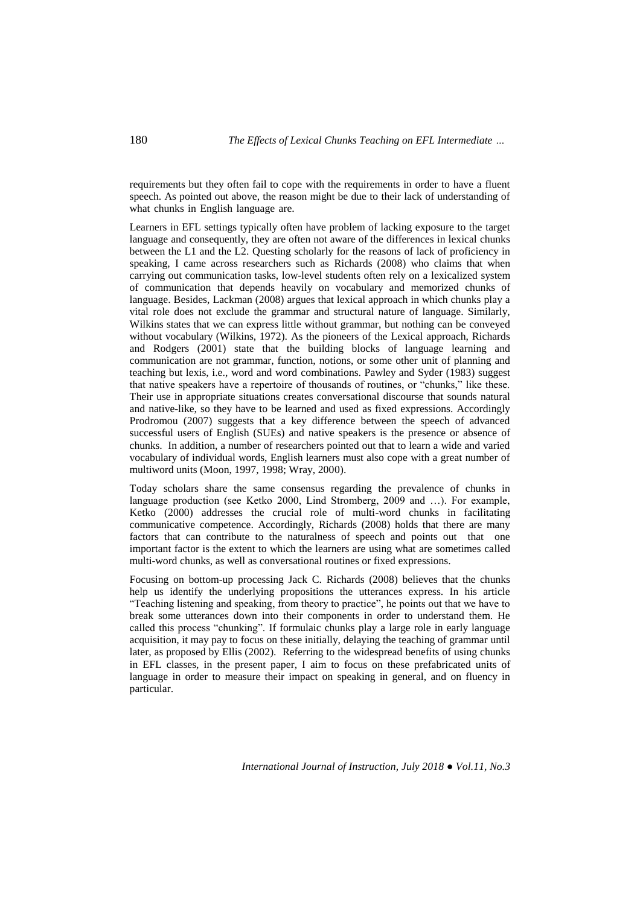requirements but they often fail to cope with the requirements in order to have a fluent speech. As pointed out above, the reason might be due to their lack of understanding of what chunks in English language are.

Learners in EFL settings typically often have problem of lacking exposure to the target language and consequently, they are often not aware of the differences in lexical chunks between the L1 and the L2. Questing scholarly for the reasons of lack of proficiency in speaking, I came across researchers such as Richards (2008) who claims that when carrying out communication tasks, low-level students often rely on a lexicalized system of communication that depends heavily on vocabulary and memorized chunks of language. Besides, Lackman (2008) argues that lexical approach in which chunks play a vital role does not exclude the grammar and structural nature of language. Similarly, Wilkins states that we can express little without grammar, but nothing can be conveyed without vocabulary (Wilkins, 1972). As the pioneers of the Lexical approach, Richards and Rodgers (2001) state that the building blocks of language learning and communication are not grammar, function, notions, or some other unit of planning and teaching but lexis, i.e., word and word combinations. Pawley and Syder (1983) suggest that native speakers have a repertoire of thousands of routines, or "chunks," like these. Their use in appropriate situations creates conversational discourse that sounds natural and native-like, so they have to be learned and used as fixed expressions. Accordingly Prodromou (2007) suggests that a key difference between the speech of advanced successful users of English (SUEs) and native speakers is the presence or absence of chunks. In addition, a number of researchers pointed out that to learn a wide and varied vocabulary of individual words, English learners must also cope with a great number of multiword units (Moon, 1997, 1998; Wray, 2000).

Today scholars share the same consensus regarding the prevalence of chunks in language production (see Ketko 2000, Lind Stromberg, 2009 and …). For example, Ketko (2000) addresses the crucial role of multi-word chunks in facilitating communicative competence. Accordingly, Richards (2008) holds that there are many factors that can contribute to the naturalness of speech and points out that one important factor is the extent to which the learners are using what are sometimes called multi-word chunks, as well as conversational routines or fixed expressions.

Focusing on bottom-up processing Jack C. Richards (2008) believes that the chunks help us identify the underlying propositions the utterances express. In his article "Teaching listening and speaking, from theory to practice", he points out that we have to break some utterances down into their components in order to understand them. He called this process "chunking". If formulaic chunks play a large role in early language acquisition, it may pay to focus on these initially, delaying the teaching of grammar until later, as proposed by Ellis (2002). Referring to the widespread benefits of using chunks in EFL classes, in the present paper, I aim to focus on these prefabricated units of language in order to measure their impact on speaking in general, and on fluency in particular.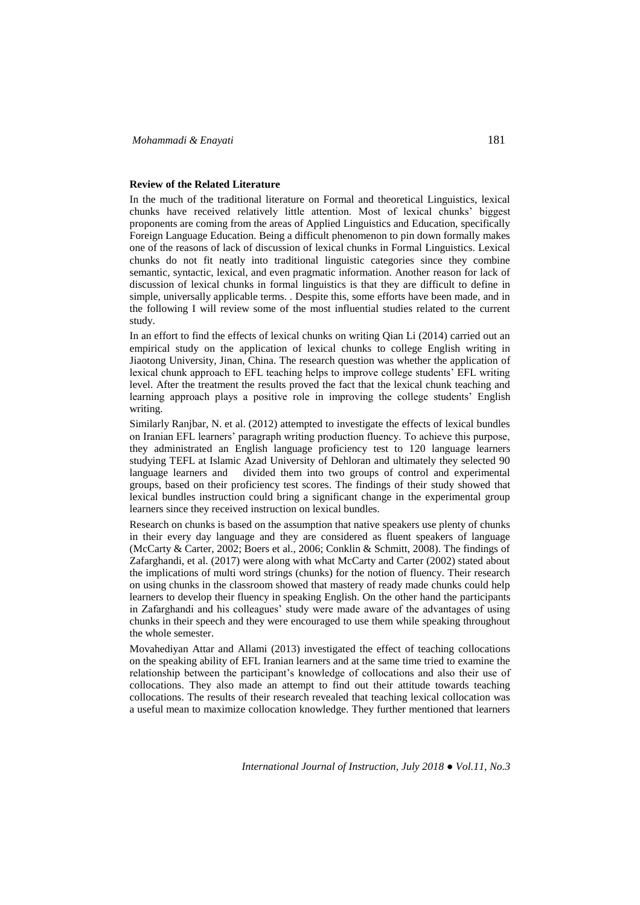### **Review of the Related Literature**

In the much of the traditional literature on Formal and theoretical Linguistics, lexical chunks have received relatively little attention. Most of lexical chunks' biggest proponents are coming from the areas of Applied Linguistics and Education, specifically Foreign Language Education. Being a difficult phenomenon to pin down formally makes one of the reasons of lack of discussion of lexical chunks in Formal Linguistics. Lexical chunks do not fit neatly into traditional linguistic categories since they combine semantic, syntactic, lexical, and even pragmatic information. Another reason for lack of discussion of lexical chunks in formal linguistics is that they are difficult to define in simple, universally applicable terms. . Despite this, some efforts have been made, and in the following I will review some of the most influential studies related to the current study.

In an effort to find the effects of lexical chunks on writing Qian Li (2014) carried out an empirical study on the application of lexical chunks to college English writing in Jiaotong University, Jinan, China. The research question was whether the application of lexical chunk approach to EFL teaching helps to improve college students' EFL writing level. After the treatment the results proved the fact that the lexical chunk teaching and learning approach plays a positive role in improving the college students' English writing.

Similarly Ranjbar, N. et al. (2012) attempted to investigate the effects of lexical bundles on Iranian EFL learners' paragraph writing production fluency. To achieve this purpose, they administrated an English language proficiency test to 120 language learners studying TEFL at Islamic Azad University of Dehloran and ultimately they selected 90 language learners and divided them into two groups of control and experimental groups, based on their proficiency test scores. The findings of their study showed that lexical bundles instruction could bring a significant change in the experimental group learners since they received instruction on lexical bundles.

Research on chunks is based on the assumption that native speakers use plenty of chunks in their every day language and they are considered as fluent speakers of language (McCarty & Carter, 2002; Boers et al., 2006; Conklin & Schmitt, 2008). The findings of Zafarghandi, et al. (2017) were along with what McCarty and Carter (2002) stated about the implications of multi word strings (chunks) for the notion of fluency. Their research on using chunks in the classroom showed that mastery of ready made chunks could help learners to develop their fluency in speaking English. On the other hand the participants in Zafarghandi and his colleagues' study were made aware of the advantages of using chunks in their speech and they were encouraged to use them while speaking throughout the whole semester.

Movahediyan Attar and Allami (2013) investigated the effect of teaching collocations on the speaking ability of EFL Iranian learners and at the same time tried to examine the relationship between the participant's knowledge of collocations and also their use of collocations. They also made an attempt to find out their attitude towards teaching collocations. The results of their research revealed that teaching lexical collocation was a useful mean to maximize collocation knowledge. They further mentioned that learners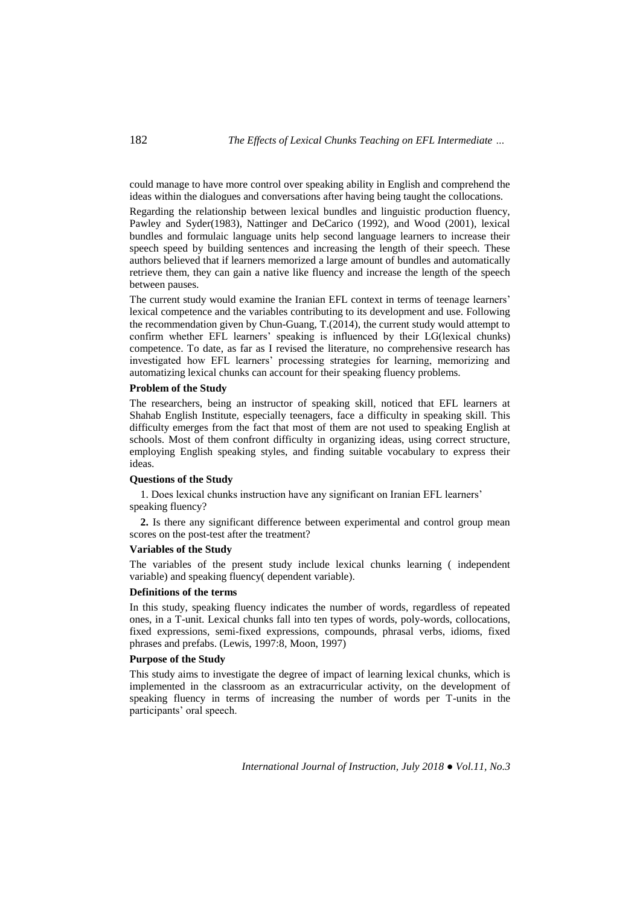could manage to have more control over speaking ability in English and comprehend the ideas within the dialogues and conversations after having being taught the collocations.

Regarding the relationship between lexical bundles and linguistic production fluency, Pawley and Syder(1983), Nattinger and DeCarico (1992), and Wood (2001), lexical bundles and formulaic language units help second language learners to increase their speech speed by building sentences and increasing the length of their speech. These authors believed that if learners memorized a large amount of bundles and automatically retrieve them, they can gain a native like fluency and increase the length of the speech between pauses.

The current study would examine the Iranian EFL context in terms of teenage learners' lexical competence and the variables contributing to its development and use. Following the recommendation given by Chun-Guang, T.(2014), the current study would attempt to confirm whether EFL learners' speaking is influenced by their LG(lexical chunks) competence. To date, as far as I revised the literature, no comprehensive research has investigated how EFL learners' processing strategies for learning, memorizing and automatizing lexical chunks can account for their speaking fluency problems.

#### **Problem of the Study**

The researchers, being an instructor of speaking skill, noticed that EFL learners at Shahab English Institute, especially teenagers, face a difficulty in speaking skill. This difficulty emerges from the fact that most of them are not used to speaking English at schools. Most of them confront difficulty in organizing ideas, using correct structure, employing English speaking styles, and finding suitable vocabulary to express their ideas.

### **Questions of the Study**

 1. Does lexical chunks instruction have any significant on Iranian EFL learners' speaking fluency?

 **2.** Is there any significant difference between experimental and control group mean scores on the post-test after the treatment?

#### **Variables of the Study**

The variables of the present study include lexical chunks learning ( independent variable) and speaking fluency( dependent variable).

#### **Definitions of the terms**

In this study, speaking fluency indicates the number of words, regardless of repeated ones, in a T-unit. Lexical chunks fall into ten types of words, poly-words, collocations, fixed expressions, semi-fixed expressions, compounds, phrasal verbs, idioms, fixed phrases and prefabs. (Lewis, 1997:8, Moon, 1997)

### **Purpose of the Study**

This study aims to investigate the degree of impact of learning lexical chunks, which is implemented in the classroom as an extracurricular activity, on the development of speaking fluency in terms of increasing the number of words per T-units in the participants' oral speech.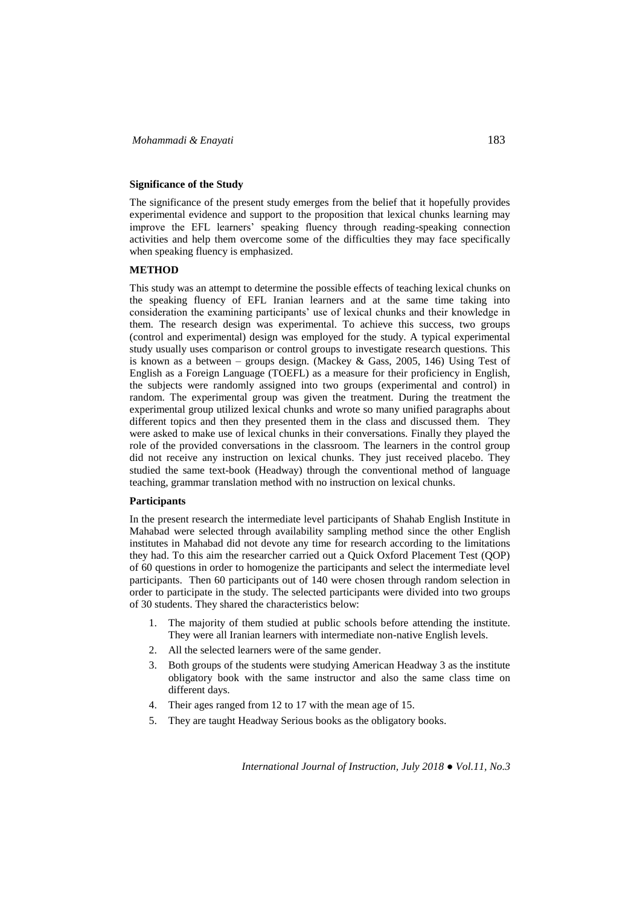## **Significance of the Study**

The significance of the present study emerges from the belief that it hopefully provides experimental evidence and support to the proposition that lexical chunks learning may improve the EFL learners' speaking fluency through reading-speaking connection activities and help them overcome some of the difficulties they may face specifically when speaking fluency is emphasized.

## **METHOD**

This study was an attempt to determine the possible effects of teaching lexical chunks on the speaking fluency of EFL Iranian learners and at the same time taking into consideration the examining participants' use of lexical chunks and their knowledge in them. The research design was experimental. To achieve this success, two groups (control and experimental) design was employed for the study. A typical experimental study usually uses comparison or control groups to investigate research questions. This is known as a between – groups design. (Mackey & Gass, 2005, 146) Using Test of English as a Foreign Language (TOEFL) as a measure for their proficiency in English, the subjects were randomly assigned into two groups (experimental and control) in random. The experimental group was given the treatment. During the treatment the experimental group utilized lexical chunks and wrote so many unified paragraphs about different topics and then they presented them in the class and discussed them. They were asked to make use of lexical chunks in their conversations. Finally they played the role of the provided conversations in the classroom. The learners in the control group did not receive any instruction on lexical chunks. They just received placebo. They studied the same text-book (Headway) through the conventional method of language teaching, grammar translation method with no instruction on lexical chunks.

## **Participants**

In the present research the intermediate level participants of Shahab English Institute in Mahabad were selected through availability sampling method since the other English institutes in Mahabad did not devote any time for research according to the limitations they had. To this aim the researcher carried out a Quick Oxford Placement Test (QOP) of 60 questions in order to homogenize the participants and select the intermediate level participants. Then 60 participants out of 140 were chosen through random selection in order to participate in the study. The selected participants were divided into two groups of 30 students. They shared the characteristics below:

- 1. The majority of them studied at public schools before attending the institute. They were all Iranian learners with intermediate non-native English levels.
- 2. All the selected learners were of the same gender.
- 3. Both groups of the students were studying American Headway 3 as the institute obligatory book with the same instructor and also the same class time on different days.
- 4. Their ages ranged from 12 to 17 with the mean age of 15.
- 5. They are taught Headway Serious books as the obligatory books.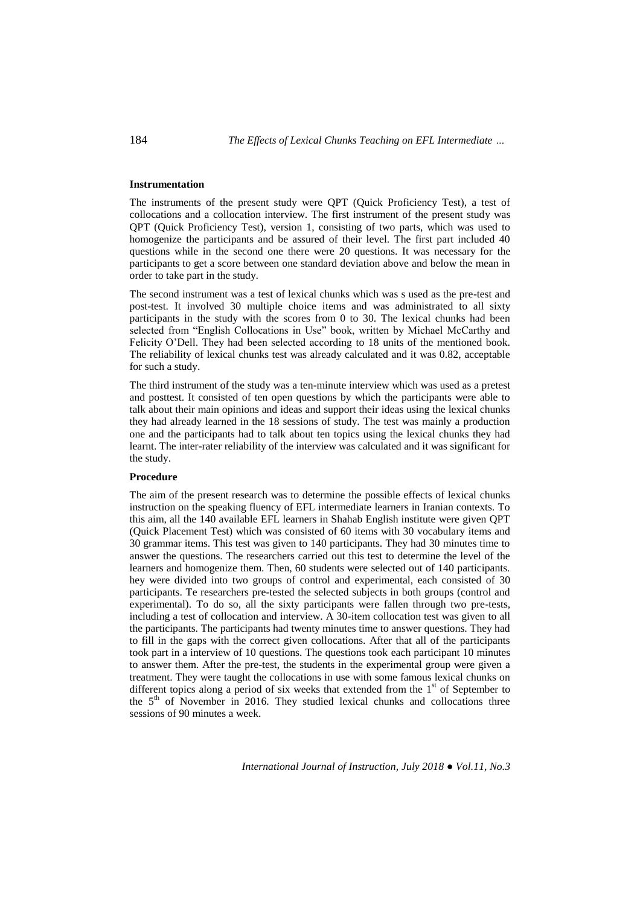### **Instrumentation**

The instruments of the present study were QPT (Quick Proficiency Test), a test of collocations and a collocation interview. The first instrument of the present study was QPT (Quick Proficiency Test), version 1, consisting of two parts, which was used to homogenize the participants and be assured of their level. The first part included 40 questions while in the second one there were 20 questions. It was necessary for the participants to get a score between one standard deviation above and below the mean in order to take part in the study.

The second instrument was a test of lexical chunks which was s used as the pre-test and post-test. It involved 30 multiple choice items and was administrated to all sixty participants in the study with the scores from 0 to 30. The lexical chunks had been selected from "English Collocations in Use" book, written by Michael McCarthy and Felicity O'Dell. They had been selected according to 18 units of the mentioned book. The reliability of lexical chunks test was already calculated and it was 0.82, acceptable for such a study.

The third instrument of the study was a ten-minute interview which was used as a pretest and posttest. It consisted of ten open questions by which the participants were able to talk about their main opinions and ideas and support their ideas using the lexical chunks they had already learned in the 18 sessions of study. The test was mainly a production one and the participants had to talk about ten topics using the lexical chunks they had learnt. The inter-rater reliability of the interview was calculated and it was significant for the study.

### **Procedure**

The aim of the present research was to determine the possible effects of lexical chunks instruction on the speaking fluency of EFL intermediate learners in Iranian contexts. To this aim, all the 140 available EFL learners in Shahab English institute were given QPT (Quick Placement Test) which was consisted of 60 items with 30 vocabulary items and 30 grammar items. This test was given to 140 participants. They had 30 minutes time to answer the questions. The researchers carried out this test to determine the level of the learners and homogenize them. Then, 60 students were selected out of 140 participants. hey were divided into two groups of control and experimental, each consisted of 30 participants. Te researchers pre-tested the selected subjects in both groups (control and experimental). To do so, all the sixty participants were fallen through two pre-tests, including a test of collocation and interview. A 30-item collocation test was given to all the participants. The participants had twenty minutes time to answer questions. They had to fill in the gaps with the correct given collocations. After that all of the participants took part in a interview of 10 questions. The questions took each participant 10 minutes to answer them. After the pre-test, the students in the experimental group were given a treatment. They were taught the collocations in use with some famous lexical chunks on different topics along a period of six weeks that extended from the 1<sup>st</sup> of September to the  $5<sup>th</sup>$  of November in 2016. They studied lexical chunks and collocations three sessions of 90 minutes a week.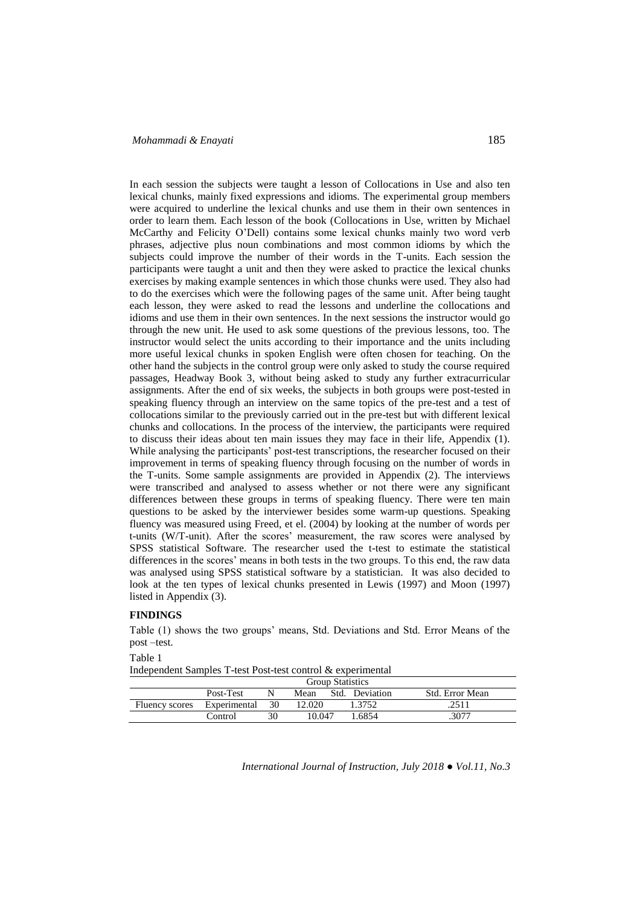## *Mohammadi & Enayati* 185

In each session the subjects were taught a lesson of Collocations in Use and also ten lexical chunks, mainly fixed expressions and idioms. The experimental group members were acquired to underline the lexical chunks and use them in their own sentences in order to learn them. Each lesson of the book (Collocations in Use, written by Michael McCarthy and Felicity O'Dell) contains some lexical chunks mainly two word verb phrases, adjective plus noun combinations and most common idioms by which the subjects could improve the number of their words in the T-units. Each session the participants were taught a unit and then they were asked to practice the lexical chunks exercises by making example sentences in which those chunks were used. They also had to do the exercises which were the following pages of the same unit. After being taught each lesson, they were asked to read the lessons and underline the collocations and idioms and use them in their own sentences. In the next sessions the instructor would go through the new unit. He used to ask some questions of the previous lessons, too. The instructor would select the units according to their importance and the units including more useful lexical chunks in spoken English were often chosen for teaching. On the other hand the subjects in the control group were only asked to study the course required passages, Headway Book 3, without being asked to study any further extracurricular assignments. After the end of six weeks, the subjects in both groups were post-tested in speaking fluency through an interview on the same topics of the pre-test and a test of collocations similar to the previously carried out in the pre-test but with different lexical chunks and collocations. In the process of the interview, the participants were required to discuss their ideas about ten main issues they may face in their life, Appendix (1). While analysing the participants' post-test transcriptions, the researcher focused on their improvement in terms of speaking fluency through focusing on the number of words in the T-units. Some sample assignments are provided in Appendix (2). The interviews were transcribed and analysed to assess whether or not there were any significant differences between these groups in terms of speaking fluency. There were ten main questions to be asked by the interviewer besides some warm-up questions. Speaking fluency was measured using Freed, et el. (2004) by looking at the number of words per t-units (W/T-unit). After the scores' measurement, the raw scores were analysed by SPSS statistical Software. The researcher used the t-test to estimate the statistical differences in the scores' means in both tests in the two groups. To this end, the raw data was analysed using SPSS statistical software by a statistician. It was also decided to look at the ten types of lexical chunks presented in Lewis (1997) and Moon (1997) listed in Appendix (3).

#### **FINDINGS**

Table (1) shows the two groups' means, Std. Deviations and Std. Error Means of the post –test.

Table 1

| mue pendem Bampies 1 lest 1 ost lest compone de experimental |                         |      |        |                |                 |  |  |  |
|--------------------------------------------------------------|-------------------------|------|--------|----------------|-----------------|--|--|--|
|                                                              | <b>Group Statistics</b> |      |        |                |                 |  |  |  |
|                                                              | Post-Test               |      | Mean   | Std. Deviation | Std. Error Mean |  |  |  |
| Fluency scores                                               | Experimental            | - 30 | 12.020 | 1.3752         | 2511            |  |  |  |
|                                                              | Control                 | 30   | 10.047 | 1.6854         | 3077            |  |  |  |

Independent Samples T-test Post-test control & experimental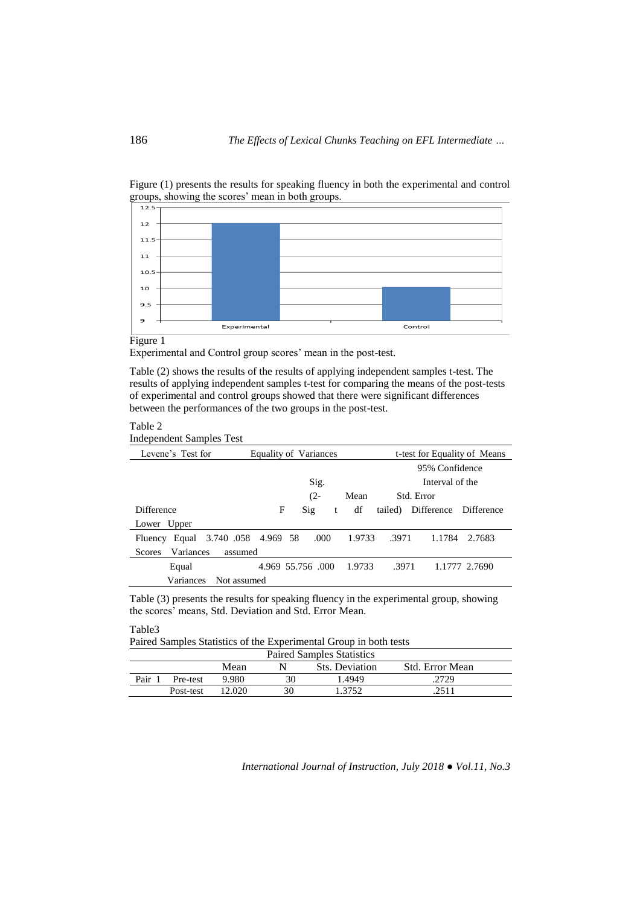

Figure (1) presents the results for speaking fluency in both the experimental and control groups, showing the scores' mean in both groups.

#### Figure 1

Experimental and Control group scores' mean in the post-test.

Table (2) shows the results of the results of applying independent samples t-test. The results of applying independent samples t-test for comparing the means of the post-tests of experimental and control groups showed that there were significant differences between the performances of the two groups in the post-test.

#### Table 2

| Independent Samples Test              |                              |        |                       |                              |
|---------------------------------------|------------------------------|--------|-----------------------|------------------------------|
| Levene's Test for                     | <b>Equality of Variances</b> |        |                       | t-test for Equality of Means |
|                                       |                              |        |                       | 95% Confidence               |
|                                       | Sig.                         |        |                       | Interval of the              |
|                                       | $(2 -$                       | Mean   | Std. Error            |                              |
| Difference                            | F<br>$\mathrm{Sig}$<br>t     | df     | Difference<br>tailed) | Difference                   |
| Lower Upper                           |                              |        |                       |                              |
| Equal 3.740 .058 4.969 58<br>Fluency  | .000                         | 1.9733 | .3971<br>1.1784       | 2.7683                       |
| Variances<br>assumed<br><b>Scores</b> |                              |        |                       |                              |
| Equal                                 | 4.969 55.756 .000            | 1.9733 | .3971                 | 1.1777 2.7690                |
| Not assumed<br>Variances              |                              |        |                       |                              |

Table (3) presents the results for speaking fluency in the experimental group, showing the scores' means, Std. Deviation and Std. Error Mean.

#### Table3

Paired Samples Statistics of the Experimental Group in both tests

| <b>Paired Samples Statistics</b> |                                           |        |    |        |       |  |  |
|----------------------------------|-------------------------------------------|--------|----|--------|-------|--|--|
|                                  | Sts. Deviation<br>Std. Error Mean<br>Mean |        |    |        |       |  |  |
| Pair 1                           | Pre-test                                  | 9.980  | 30 | 1.4949 | .2729 |  |  |
|                                  | Post-test                                 | 12.020 |    | 1.3752 | 2511  |  |  |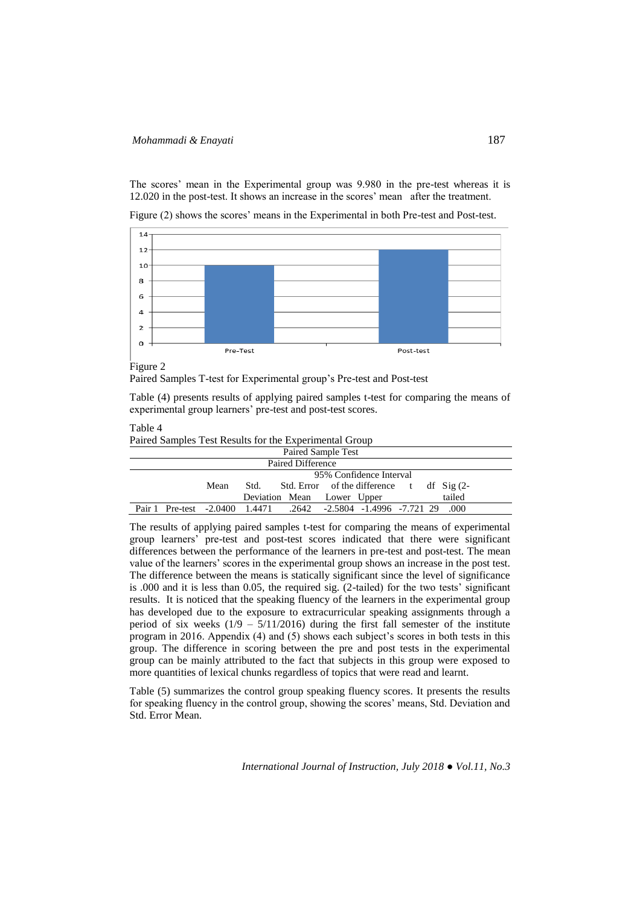The scores' mean in the Experimental group was 9.980 in the pre-test whereas it is 12.020 in the post-test. It shows an increase in the scores' mean after the treatment.



Figure (2) shows the scores' means in the Experimental in both Pre-test and Post-test.

Figure 2

Paired Samples T-test for Experimental group's Pre-test and Post-test

Table (4) presents results of applying paired samples t-test for comparing the means of experimental group learners' pre-test and post-test scores.

Table 4 Paired Samples Test Results for the Experimental Group

| Paired Sample Test                                                  |                                                       |  |        |  |  |  |  |
|---------------------------------------------------------------------|-------------------------------------------------------|--|--------|--|--|--|--|
| Paired Difference                                                   |                                                       |  |        |  |  |  |  |
|                                                                     | 95% Confidence Interval                               |  |        |  |  |  |  |
| Mean                                                                | Std. Error of the difference $t$ df Sig $(2-$<br>Std. |  |        |  |  |  |  |
|                                                                     | Deviation Mean Lower Upper                            |  | tailed |  |  |  |  |
| Pair 1 Pre-test -2.0400 1.4471 .2642 -2.5804 -1.4996 -7.721 29 .000 |                                                       |  |        |  |  |  |  |

The results of applying paired samples t-test for comparing the means of experimental group learners' pre-test and post-test scores indicated that there were significant differences between the performance of the learners in pre-test and post-test. The mean value of the learners' scores in the experimental group shows an increase in the post test. The difference between the means is statically significant since the level of significance is .000 and it is less than 0.05, the required sig. (2-tailed) for the two tests' significant results. It is noticed that the speaking fluency of the learners in the experimental group has developed due to the exposure to extracurricular speaking assignments through a period of six weeks  $(1/9 - 5/11/2016)$  during the first fall semester of the institute program in 2016. Appendix (4) and (5) shows each subject's scores in both tests in this group. The difference in scoring between the pre and post tests in the experimental group can be mainly attributed to the fact that subjects in this group were exposed to more quantities of lexical chunks regardless of topics that were read and learnt.

Table (5) summarizes the control group speaking fluency scores. It presents the results for speaking fluency in the control group, showing the scores' means, Std. Deviation and Std. Error Mean.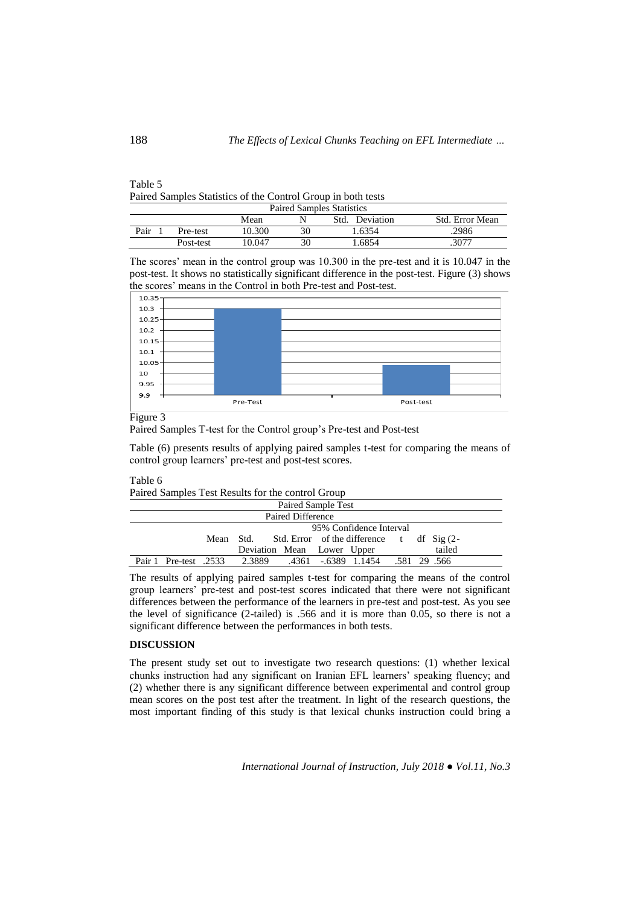Table 5 Paired Samples Statistics of the Control Group in both tests

| <b>Paired Samples Statistics</b>             |          |        |    |        |      |  |  |  |
|----------------------------------------------|----------|--------|----|--------|------|--|--|--|
| Std. Error Mean<br>Deviation<br>Std.<br>Mean |          |        |    |        |      |  |  |  |
| Pair                                         | Pre-test | 10.300 | 30 | 1.6354 | 2986 |  |  |  |
| .3077<br>. 6854<br>10.047<br>Post-test       |          |        |    |        |      |  |  |  |

The scores' mean in the control group was 10.300 in the pre-test and it is 10.047 in the post-test. It shows no statistically significant difference in the post-test. Figure (3) shows the scores' means in the Control in both Pre-test and Post-test.



Figure 3

Paired Samples T-test for the Control group's Pre-test and Post-test

Table (6) presents results of applying paired samples t-test for comparing the means of control group learners' pre-test and post-test scores.

## Table 6

| Paired Samples Test Results for the control Group |                                              |  |
|---------------------------------------------------|----------------------------------------------|--|
|                                                   | $\mathbf{n}$ . $\mathbf{n}$ . $\mathbf{n}$ . |  |

| Paired Sample Test                                       |  |                                                               |  |  |  |  |  |  |  |
|----------------------------------------------------------|--|---------------------------------------------------------------|--|--|--|--|--|--|--|
| Paired Difference                                        |  |                                                               |  |  |  |  |  |  |  |
| 95% Confidence Interval                                  |  |                                                               |  |  |  |  |  |  |  |
| Std. Error of the difference $t$ df Sig (2-<br>Mean Std. |  |                                                               |  |  |  |  |  |  |  |
| tailed<br>Deviation Mean Lower Upper                     |  |                                                               |  |  |  |  |  |  |  |
|                                                          |  | Pair 1 Pre-test .2533 2.3889 .4361 -.6389 1.1454 .581 29 .566 |  |  |  |  |  |  |  |

The results of applying paired samples t-test for comparing the means of the control group learners' pre-test and post-test scores indicated that there were not significant differences between the performance of the learners in pre-test and post-test. As you see the level of significance (2-tailed) is .566 and it is more than 0.05, so there is not a significant difference between the performances in both tests.

## **DISCUSSION**

The present study set out to investigate two research questions: (1) whether lexical chunks instruction had any significant on Iranian EFL learners' speaking fluency; and (2) whether there is any significant difference between experimental and control group mean scores on the post test after the treatment. In light of the research questions, the most important finding of this study is that lexical chunks instruction could bring a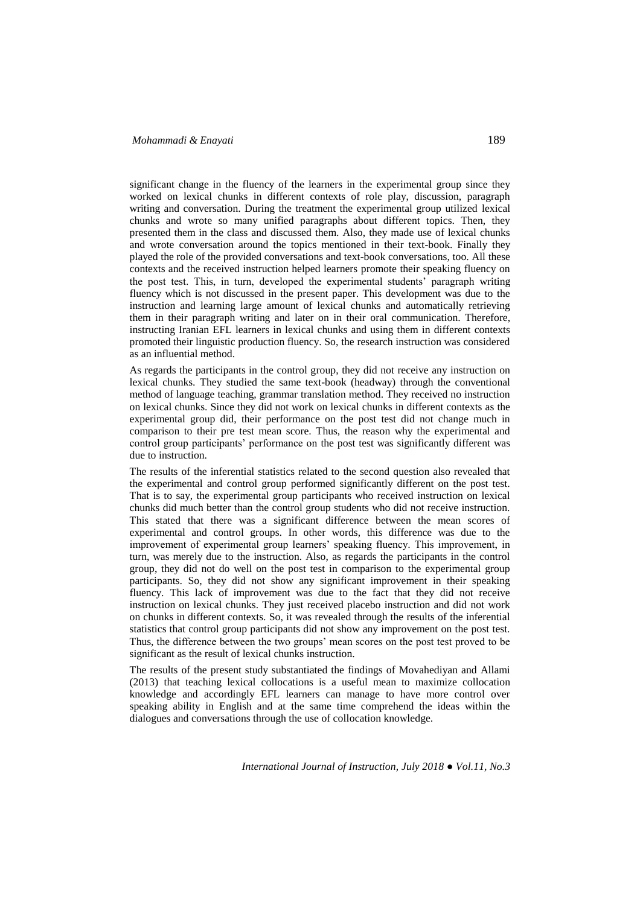## *Mohammadi & Enayati* 189

significant change in the fluency of the learners in the experimental group since they worked on lexical chunks in different contexts of role play, discussion, paragraph writing and conversation. During the treatment the experimental group utilized lexical chunks and wrote so many unified paragraphs about different topics. Then, they presented them in the class and discussed them. Also, they made use of lexical chunks and wrote conversation around the topics mentioned in their text-book. Finally they played the role of the provided conversations and text-book conversations, too. All these contexts and the received instruction helped learners promote their speaking fluency on the post test. This, in turn, developed the experimental students' paragraph writing fluency which is not discussed in the present paper. This development was due to the instruction and learning large amount of lexical chunks and automatically retrieving them in their paragraph writing and later on in their oral communication. Therefore, instructing Iranian EFL learners in lexical chunks and using them in different contexts promoted their linguistic production fluency. So, the research instruction was considered as an influential method.

As regards the participants in the control group, they did not receive any instruction on lexical chunks. They studied the same text-book (headway) through the conventional method of language teaching, grammar translation method. They received no instruction on lexical chunks. Since they did not work on lexical chunks in different contexts as the experimental group did, their performance on the post test did not change much in comparison to their pre test mean score. Thus, the reason why the experimental and control group participants' performance on the post test was significantly different was due to instruction.

The results of the inferential statistics related to the second question also revealed that the experimental and control group performed significantly different on the post test. That is to say, the experimental group participants who received instruction on lexical chunks did much better than the control group students who did not receive instruction. This stated that there was a significant difference between the mean scores of experimental and control groups. In other words, this difference was due to the improvement of experimental group learners' speaking fluency. This improvement, in turn, was merely due to the instruction. Also, as regards the participants in the control group, they did not do well on the post test in comparison to the experimental group participants. So, they did not show any significant improvement in their speaking fluency. This lack of improvement was due to the fact that they did not receive instruction on lexical chunks. They just received placebo instruction and did not work on chunks in different contexts. So, it was revealed through the results of the inferential statistics that control group participants did not show any improvement on the post test. Thus, the difference between the two groups' mean scores on the post test proved to be significant as the result of lexical chunks instruction.

The results of the present study substantiated the findings of Movahediyan and Allami (2013) that teaching lexical collocations is a useful mean to maximize collocation knowledge and accordingly EFL learners can manage to have more control over speaking ability in English and at the same time comprehend the ideas within the dialogues and conversations through the use of collocation knowledge.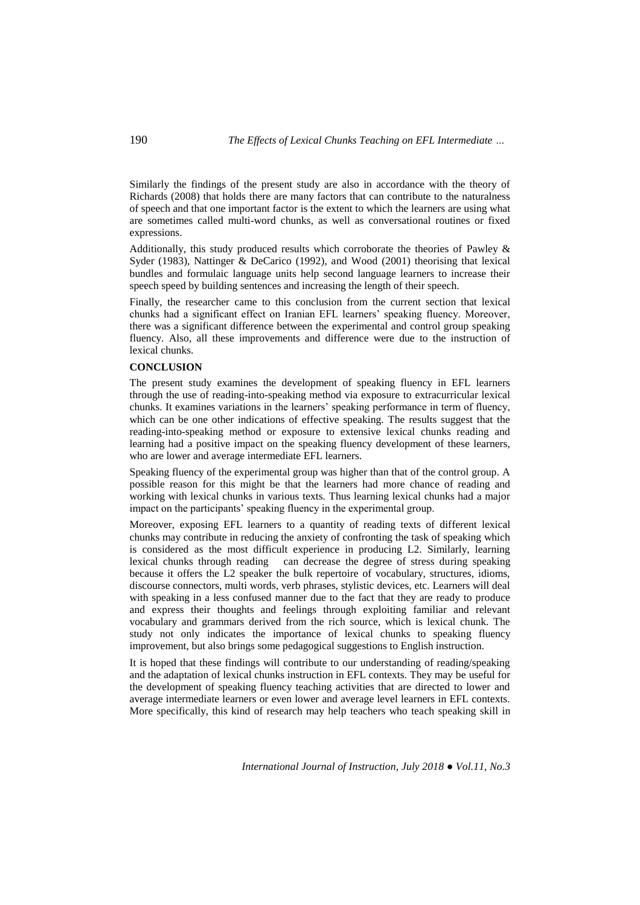Similarly the findings of the present study are also in accordance with the theory of Richards (2008) that holds there are many factors that can contribute to the naturalness of speech and that one important factor is the extent to which the learners are using what are sometimes called multi-word chunks, as well as conversational routines or fixed expressions.

Additionally, this study produced results which corroborate the theories of Pawley & Syder (1983), Nattinger & DeCarico (1992), and Wood (2001) theorising that lexical bundles and formulaic language units help second language learners to increase their speech speed by building sentences and increasing the length of their speech.

Finally, the researcher came to this conclusion from the current section that lexical chunks had a significant effect on Iranian EFL learners' speaking fluency. Moreover, there was a significant difference between the experimental and control group speaking fluency. Also, all these improvements and difference were due to the instruction of lexical chunks.

#### **CONCLUSION**

The present study examines the development of speaking fluency in EFL learners through the use of reading-into-speaking method via exposure to extracurricular lexical chunks. It examines variations in the learners' speaking performance in term of fluency, which can be one other indications of effective speaking. The results suggest that the reading-into-speaking method or exposure to extensive lexical chunks reading and learning had a positive impact on the speaking fluency development of these learners, who are lower and average intermediate EFL learners.

Speaking fluency of the experimental group was higher than that of the control group. A possible reason for this might be that the learners had more chance of reading and working with lexical chunks in various texts. Thus learning lexical chunks had a major impact on the participants' speaking fluency in the experimental group.

Moreover, exposing EFL learners to a quantity of reading texts of different lexical chunks may contribute in reducing the anxiety of confronting the task of speaking which is considered as the most difficult experience in producing L2. Similarly, learning lexical chunks through reading can decrease the degree of stress during speaking because it offers the L2 speaker the bulk repertoire of vocabulary, structures, idioms, discourse connectors, multi words, verb phrases, stylistic devices, etc. Learners will deal with speaking in a less confused manner due to the fact that they are ready to produce and express their thoughts and feelings through exploiting familiar and relevant vocabulary and grammars derived from the rich source, which is lexical chunk. The study not only indicates the importance of lexical chunks to speaking fluency improvement, but also brings some pedagogical suggestions to English instruction.

It is hoped that these findings will contribute to our understanding of reading/speaking and the adaptation of lexical chunks instruction in EFL contexts. They may be useful for the development of speaking fluency teaching activities that are directed to lower and average intermediate learners or even lower and average level learners in EFL contexts. More specifically, this kind of research may help teachers who teach speaking skill in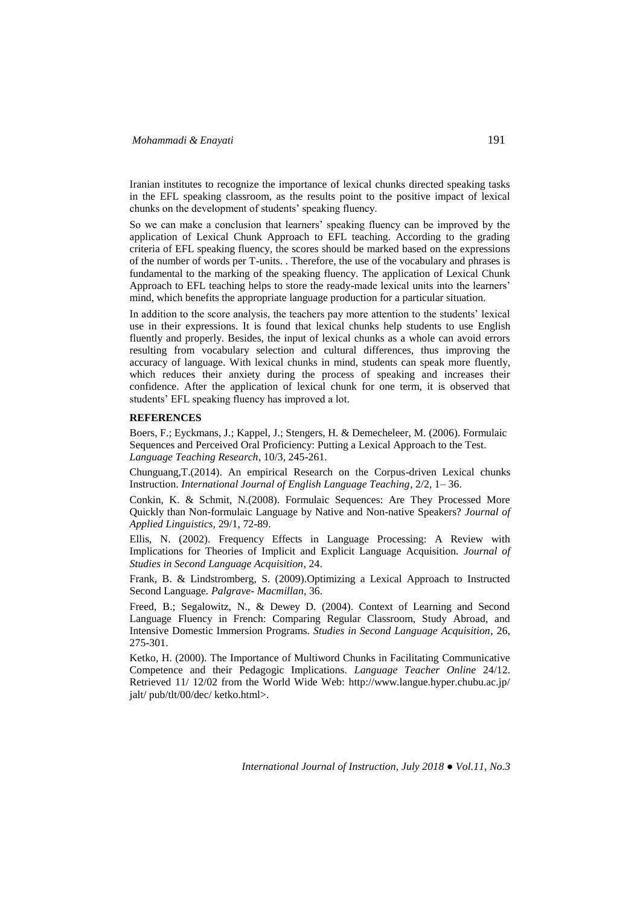Iranian institutes to recognize the importance of lexical chunks directed speaking tasks in the EFL speaking classroom, as the results point to the positive impact of lexical chunks on the development of students' speaking fluency.

So we can make a conclusion that learners' speaking fluency can be improved by the application of Lexical Chunk Approach to EFL teaching. According to the grading criteria of EFL speaking fluency, the scores should be marked based on the expressions of the number of words per T-units. . Therefore, the use of the vocabulary and phrases is fundamental to the marking of the speaking fluency. The application of Lexical Chunk Approach to EFL teaching helps to store the ready-made lexical units into the learners' mind, which benefits the appropriate language production for a particular situation.

In addition to the score analysis, the teachers pay more attention to the students' lexical use in their expressions. It is found that lexical chunks help students to use English fluently and properly. Besides, the input of lexical chunks as a whole can avoid errors resulting from vocabulary selection and cultural differences, thus improving the accuracy of language. With lexical chunks in mind, students can speak more fluently, which reduces their anxiety during the process of speaking and increases their confidence. After the application of lexical chunk for one term, it is observed that students' EFL speaking fluency has improved a lot.

## **REFERENCES**

Boers, F.; Eyckmans, J.; Kappel, J.; Stengers, H. & Demecheleer, M. (2006). Formulaic Sequences and Perceived Oral Proficiency: Putting a Lexical Approach to the Test*. Language Teaching Research*, 10/3, 245-261.

Chunguang,T.(2014). An empirical Research on the Corpus-driven Lexical chunks Instruction. *International Journal of English Language Teaching*, 2/2, 1– 36.

Conkin, K. & Schmit, N.(2008). Formulaic Sequences: Are They Processed More Quickly than Non-formulaic Language by Native and Non-native Speakers? *Journal of Applied Linguistics,* 29/1, 72-89.

Ellis, N. (2002). Frequency Effects in Language Processing: A Review with Implications for Theories of Implicit and Explicit Language Acquisition. *Journal of Studies in Second Language Acquisition*, 24.

Frank, B. & Lindstromberg, S. (2009).Optimizing a Lexical Approach to Instructed Second Language. *Palgrave- Macmillan*, 36.

Freed, B.; Segalowitz, N., & Dewey D. (2004). Context of Learning and Second Language Fluency in French: Comparing Regular Classroom, Study Abroad, and Intensive Domestic Immersion Programs. *Studies in Second Language Acquisition*, 26, 275-301.

Ketko, H. (2000). The Importance of Multiword Chunks in Facilitating Communicative Competence and their Pedagogic Implications. *Language Teacher Online* 24/12. Retrieved 11/ 12/02 from the World Wide Web: http://www.langue.hyper.chubu.ac.jp/ jalt/ pub/tlt/00/dec/ ketko.html>.